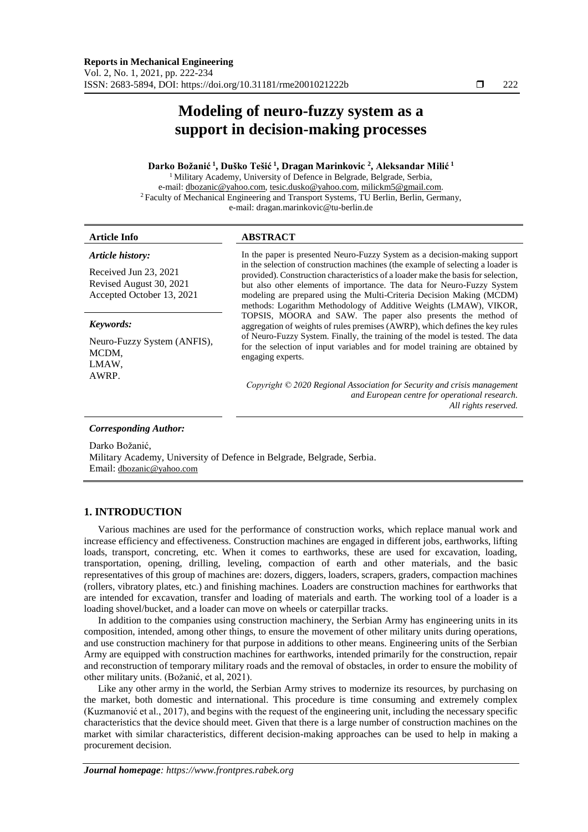# **Modeling of neuro-fuzzy system as a support in decision-making processes**

# **Darko Božanić <sup>1</sup> , Duško Tešić <sup>1</sup> , Dragan Marinkovic <sup>2</sup> , Aleksandar Milić <sup>1</sup>**

<sup>1</sup> Military Academy, University of Defence in Belgrade, Belgrade, Serbia, e-mail: [dbozanic@yahoo.com,](mailto:dbozanic@yahoo.com) [tesic.dusko@yahoo.com,](mailto:tesic.dusko@yahoo.com) [milickm5@gmail.com.](mailto:milickm5@gmail.com) <sup>2</sup> Faculty of Mechanical Engineering and Transport Systems, TU Berlin, Berlin, Germany, e-mail: dragan.marinkovic@tu-berlin.de

# **Article Info ABSTRACT**

#### *Article history:*

Received Jun 23, 2021 Revised August 30, 2021 Accepted October 13, 2021

## *Keywords:*

Neuro-Fuzzy System (ANFIS), MCDM, LMAW, AWRP.

In the paper is presented Neuro-Fuzzy System as a decision-making support in the selection of construction machines (the example of selecting a loader is provided). Construction characteristics of a loader make the basis for selection, but also other elements of importance. The data for Neuro-Fuzzy System modeling are prepared using the Multi-Criteria Decision Making (MCDM) methods: Logarithm Methodology of Additive Weights (LMAW), VIKOR, TOPSIS, MOORA and SAW. The paper also presents the method of aggregation of weights of rules premises (AWRP), which defines the key rules of Neuro-Fuzzy System. Finally, the training of the model is tested. The data for the selection of input variables and for model training are obtained by engaging experts.

*Copyright © 2020 Regional Association for Security and crisis management and European centre for operational research. All rights reserved.*

#### *Corresponding Author:*

Darko Božanić,

Military Academy, University of Defence in Belgrade, Belgrade, Serbia. Email: [dbozanic@yahoo.com](mailto:dbozanic@yahoo.com)

# **1. INTRODUCTION**

Various machines are used for the performance of construction works, which replace manual work and increase efficiency and effectiveness. Construction machines are engaged in different jobs, earthworks, lifting loads, transport, concreting, etc. When it comes to earthworks, these are used for excavation, loading, transportation, opening, drilling, leveling, compaction of earth and other materials, and the basic representatives of this group of machines are: dozers, diggers, loaders, scrapers, graders, compaction machines (rollers, vibratory plates, etc.) and finishing machines. Loaders are construction machines for earthworks that are intended for excavation, transfer and loading of materials and earth. The working tool of a loader is a loading shovel/bucket, and a loader can move on wheels or caterpillar tracks.

In addition to the companies using construction machinery, the Serbian Army has engineering units in its composition, intended, among other things, to ensure the movement of other military units during operations, and use construction machinery for that purpose in additions to other means. Engineering units of the Serbian Army are equipped with construction machines for earthworks, intended primarily for the construction, repair and reconstruction of temporary military roads and the removal of obstacles, in order to ensure the mobility of other military units. (Božanić, et al, 2021).

Like any other army in the world, the Serbian Army strives to modernize its resources, by purchasing on the market, both domestic and international. This procedure is time consuming and extremely complex (Kuzmanović et al., 2017), and begins with the request of the engineering unit, including the necessary specific characteristics that the device should meet. Given that there is a large number of construction machines on the market with similar characteristics, different decision-making approaches can be used to help in making a procurement decision.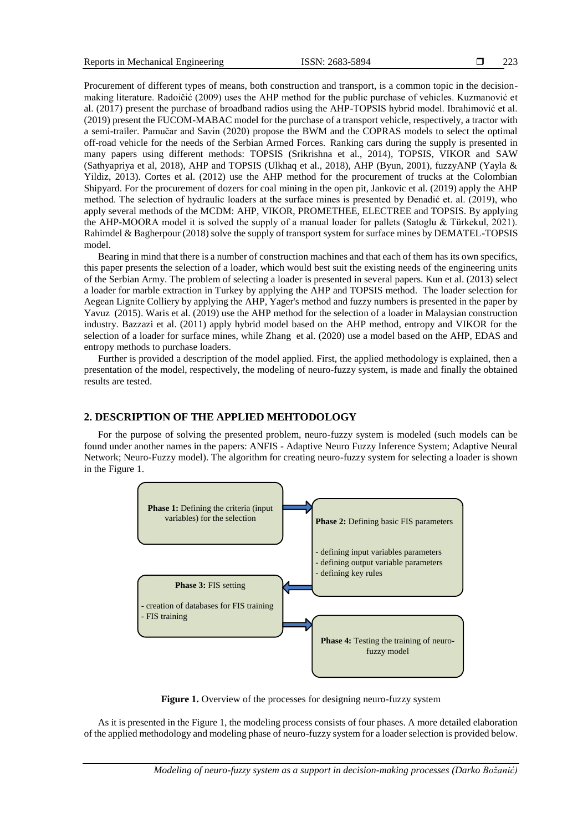Procurement of different types of means, both construction and transport, is a common topic in the decisionmaking literature. Radoičić (2009) uses the AHP method for the public purchase of vehicles. Kuzmanović et al. (2017) present the purchase of broadband radios using the AHP-TOPSIS hybrid model. Ibrahimović et al. (2019) present the FUCOM-MABAC model for the purchase of a transport vehicle, respectively, a tractor with a semi-trailer. Pamučar and Savin (2020) propose the BWM and the COPRAS models to select the optimal off-road vehicle for the needs of the Serbian Armed Forces. Ranking cars during the supply is presented in many papers using different methods: TOPSIS (Srikrishna et al., 2014), TOPSIS, VIKOR and SAW (Sathyapriya et al, 2018), AHP and TOPSIS (Ulkhaq et al., 2018), AHP (Byun, 2001), fuzzyANP (Yayla & Yildiz, 2013). Cortes et al. (2012) use the AHP method for the procurement of trucks at the Colombian Shipyard. For the procurement of dozers for coal mining in the open pit, Jankovic et al. (2019) apply the AHP method. The selection of hydraulic loaders at the surface mines is presented by Đenadić et. al. (2019), who apply several methods of the MCDM: AHP, VIKOR, PROMETHEE, ELECTREE and TOPSIS. By applying the AHP-MOORA model it is solved the supply of a manual loader for pallets (Satoglu & Türkekul, 2021). Rahimdel & Bagherpour (2018) solve the supply of transport system for surface mines by DEMATEL-TOPSIS model.

Bearing in mind that there is a number of construction machines and that each of them has its own specifics, this paper presents the selection of a loader, which would best suit the existing needs of the engineering units of the Serbian Army. The problem of selecting a loader is presented in several papers. Kun et al. (2013) select a loader for marble extraction in Turkey by applying the AHP and TOPSIS method. The loader selection for Aegean Lignite Colliery by applying the AHP, Yager's method and fuzzy numbers is presented in the paper by Yavuz (2015). Waris et al. (2019) use the AHP method for the selection of a loader in Malaysian construction industry. Bazzazi et al. (2011) apply hybrid model based on the AHP method, entropy and VIKOR for the selection of a loader for surface mines, while Zhang et al. (2020) use a model based on the AHP, EDAS and entropy methods to purchase loaders.

Further is provided a description of the model applied. First, the applied methodology is explained, then a presentation of the model, respectively, the modeling of neuro-fuzzy system, is made and finally the obtained results are tested.

# **2. DESCRIPTION OF THE APPLIED MEHTODOLOGY**

For the purpose of solving the presented problem, neuro-fuzzy system is modeled (such models can be found under another names in the papers: ANFIS - Adaptive Neuro Fuzzy Inference System; Adaptive Neural Network; Neuro-Fuzzy model). The algorithm for creating neuro-fuzzy system for selecting a loader is shown in the Figure 1.



**Figure 1.** Overview of the processes for designing neuro-fuzzy system

As it is presented in the Figure 1, the modeling process consists of four phases. A more detailed elaboration of the applied methodology and modeling phase of neuro-fuzzy system for a loader selection is provided below.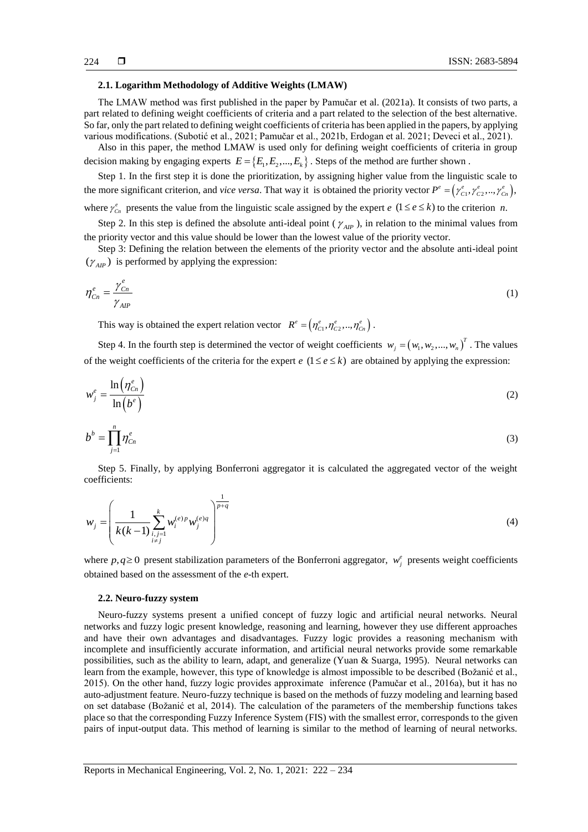#### **2.1. Logarithm Methodology of Additive Weights (LMAW)**

The LMAW method was first published in the paper by Pamučar et al. (2021a). It consists of two parts, a part related to defining weight coefficients of criteria and a part related to the selection of the best alternative. So far, only the part related to defining weight coefficients of criteria has been applied in the papers, by applying various modifications. (Subotić et al., 2021; Pamučar et al., 2021b, Erdogan et al. 2021; Deveci et al., 2021).

Also in this paper, the method LMAW is used only for defining weight coefficients of criteria in group decision making by engaging experts  $E = \{E_1, E_2, ..., E_k\}$ . Steps of the method are further shown.

Step 1. In the first step it is done the prioritization, by assigning higher value from the linguistic scale to the more significant criterion, and *vice versa*. That way it is obtained the priority vector  $P^e = (r_{C_1}^e, r_{C_2}^e, ..., r_{C_n}^e)$ ,

where  $\gamma_{c_n}^e$  presents the value from the linguistic scale assigned by the expert *e*  $(1 \le e \le k)$  to the criterion *n*.

Step 2. In this step is defined the absolute anti-ideal point  $(\gamma_{AP})$ , in relation to the minimal values from the priority vector and this value should be lower than the lowest value of the priority vector.

Step 3: Defining the relation between the elements of the priority vector and the absolute anti-ideal point  $(\gamma_{AIP})$  is performed by applying the expression:

$$
\eta_{C_n}^e = \frac{\gamma_{C_n}^e}{\gamma_{AP}}
$$
 (1)

This way is obtained the expert relation vector  $R^e = (n_{c_1}^e, n_{c_2}^e, ..., n_{c_n}^e)$ .

Step 4. In the fourth step is determined the vector of weight coefficients  $w_j = (w_1, w_2, ..., w_n)^T$ . The values of the weight coefficients of the criteria for the expert  $e$  ( $1 \le e \le k$ ) are obtained by applying the expression:

$$
w_j^e = \frac{\ln(\eta_{C_n}^e)}{\ln(b^e)}
$$
 (2)

$$
b^b = \prod_{j=1}^n \eta_{C_n}^e \tag{3}
$$

Step 5. Finally, by applying Bonferroni aggregator it is calculated the aggregated vector of the weight coefficients:

$$
w_j = \left(\frac{1}{k(k-1)} \sum_{\substack{i,j=1 \ i \neq j}}^k w_i^{(e)p} w_j^{(e)q}\right)^{\frac{1}{p+q}}
$$
(4)

where  $p, q \ge 0$  present stabilization parameters of the Bonferroni aggregator,  $w_j^e$  presents weight coefficients obtained based on the assessment of the *e*-th expert.

#### **2.2. Neuro-fuzzy system**

Neuro-fuzzy systems present a unified concept of fuzzy logic and artificial neural networks. Neural networks and fuzzy logic present knowledge, reasoning and learning, however they use different approaches and have their own advantages and disadvantages. Fuzzy logic provides a reasoning mechanism with incomplete and insufficiently accurate information, and artificial neural networks provide some remarkable possibilities, such as the ability to learn, adapt, and generalize (Yuan & Suarga, 1995). Neural networks can learn from the example, however, this type of knowledge is almost impossible to be described (Božanić et al., 2015). On the other hand, fuzzy logic provides approximate inference (Pamučar et al., 2016a), but it has no auto-adjustment feature. Neuro-fuzzy technique is based on the methods of fuzzy modeling and learning based on set database (Božanić et al, 2014). The calculation of the parameters of the membership functions takes place so that the corresponding Fuzzy Inference System (FIS) with the smallest error, corresponds to the given pairs of input-output data. This method of learning is similar to the method of learning of neural networks.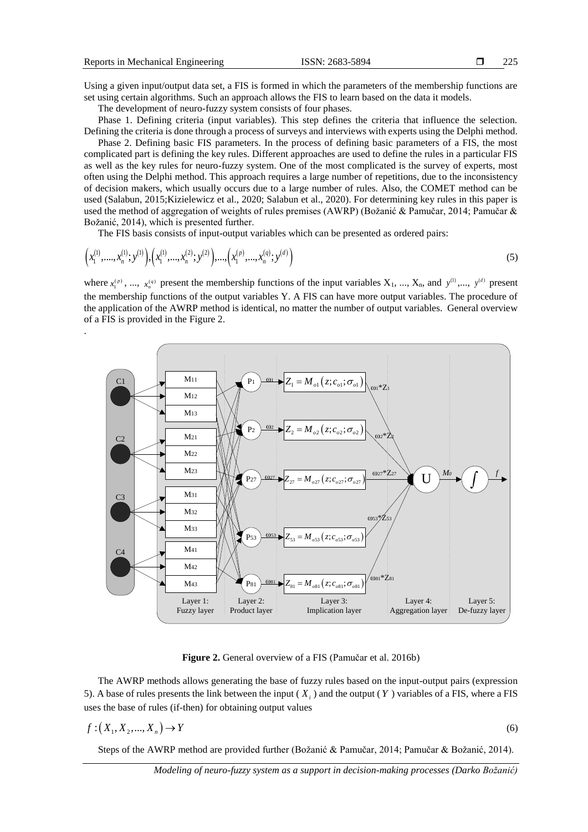Using a given input/output data set, a FIS is formed in which the parameters of the membership functions are set using certain algorithms. Such an approach allows the FIS to learn based on the data it models.

The development of neuro-fuzzy system consists of four phases.

Phase 1. Defining criteria (input variables). This step defines the criteria that influence the selection. Defining the criteria is done through a process of surveys and interviews with experts using the Delphi method.

Phase 2. Defining basic FIS parameters. In the process of defining basic parameters of a FIS, the most complicated part is defining the key rules. Different approaches are used to define the rules in a particular FIS as well as the key rules for neuro-fuzzy system. One of the most complicated is the survey of experts, most often using the Delphi method. This approach requires a large number of repetitions, due to the inconsistency of decision makers, which usually occurs due to a large number of rules. Also, the COMET method can be used (Salabun, 2015;Kizielewicz et al., 2020; Salabun et al., 2020). For determining key rules in this paper is used the method of aggregation of weights of rules premises (AWRP) (Božanić & Pamučar, 2014; Pamučar & Božanić, 2014), which is presented further.

The FIS basis consists of input-output variables which can be presented as ordered pairs:  
\n
$$
(x_1^{(1)},...,x_n^{(1)};y^{(1)}), (x_1^{(1)},...,x_n^{(2)};y^{(2)}),..., (x_1^{(p)},...,x_n^{(q)};y^{(d)})
$$
\n(5)

where  $x_1^{(p)}$ , ...,  $x_n^{(q)}$  present the membership functions of the input variables  $X_1$ , ...,  $X_n$ , and  $y^{(1)}$ ,...,  $y^{(d)}$  present the membership functions of the output variables Y. A FIS can have more output variables. The procedure of the application of the AWRP method is identical, no matter the number of output variables. General overview of a FIS is provided in the Figure 2.



**Figure 2.** General overview of a FIS (Pamučar et al. 2016b)

The AWRP methods allows generating the base of fuzzy rules based on the input-output pairs (expression 5). A base of rules presents the link between the input  $(X_i)$  and the output  $(Y)$  variables of a FIS, where a FIS uses the base of rules (if-then) for obtaining output values

$$
f: (X_1, X_2, ..., X_n) \to Y
$$
\n(6)

Steps of the AWRP method are provided further (Božanić & Pamučar, 2014; Pamučar & Božanić, 2014).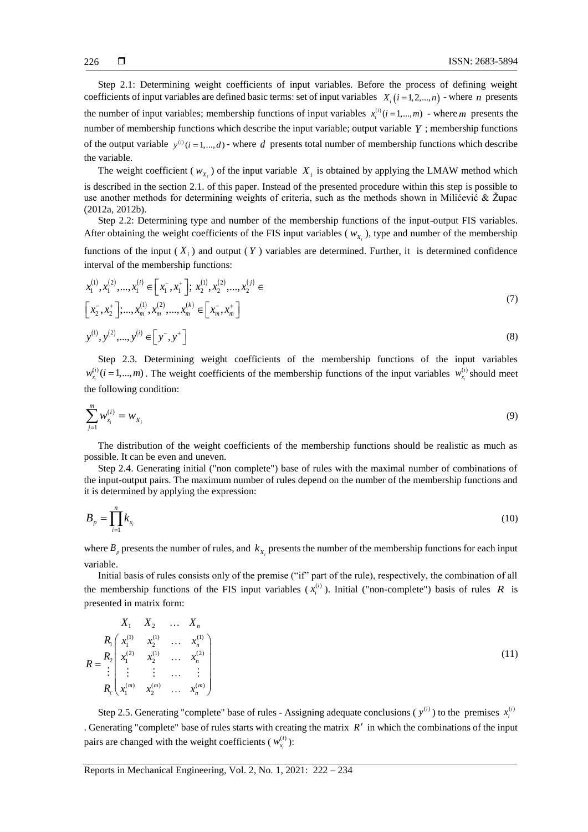226

Step 2.1: Determining weight coefficients of input variables. Before the process of defining weight coefficients of input variables are defined basic terms: set of input variables  $X_i$  ( $i = 1, 2, ..., n$ ) - where *n* presents the number of input variables; membership functions of input variables  $x_i^{(i)}$  ( $i = 1,...,m$ ) - where m presents the number of membership functions which describe the input variable; output variable *Y* ; membership functions of the output variable  $y^{(i)}$  ( $i = 1, ..., d$ ) - where d presents total number of membership functions which describe the variable.

The weight coefficient ( $w_{X_i}$ ) of the input variable  $X_i$  is obtained by applying the LMAW method which is described in the section 2.1. of this paper. Instead of the presented procedure within this step is possible to use another methods for determining weights of criteria, such as the methods shown in Milićević & Župac (2012a, 2012b).

Step 2.2: Determining type and number of the membership functions of the input-output FIS variables. After obtaining the weight coefficients of the FIS input variables ( $w_{X_i}$ ), type and number of the membership

functions of the input  $(X_i)$  and output  $(Y)$  variables are determined. Further, it is determined confidence interval of the membership functions:

$$
x_1^{(1)}, x_1^{(2)}, \dots, x_1^{(i)} \in [x_1^-, x_1^+]; x_2^{(1)}, x_2^{(2)}, \dots, x_2^{(j)} \in [x_2^-, x_2^+]; \dots, x_m^{(i)}, x_m^{(2)}, \dots, x_m^{(k)} \in [x_m^-, x_m^+]
$$
\n
$$
y^{(1)}, y^{(2)}, \dots, y^{(i)} \in [y^-, y^+]
$$
\n(8)

Step 2.3. Determining weight coefficients of the membership functions of the input variables  $w_{x_i}^{(i)}$  (*i* = 1,...,*m*). The weight coefficients of the membership functions of the input variables  $w_{x_i}^{(i)}$ *i*  $w_{x_i}^{(i)}$  should meet the following condition:

$$
\sum_{j=1}^{m} w_{x_i}^{(i)} = w_{x_i}
$$
 (9)

The distribution of the weight coefficients of the membership functions should be realistic as much as possible. It can be even and uneven.

Step 2.4. Generating initial ("non complete") base of rules with the maximal number of combinations of the input-output pairs. The maximum number of rules depend on the number of the membership functions and it is determined by applying the expression:

$$
B_p = \prod_{i=1}^n k_{x_i} \tag{10}
$$

where  $B_p$  presents the number of rules, and  $k_{X_i}$  presents the number of the membership functions for each input variable.

Initial basis of rules consists only of the premise ("if" part of the rule), respectively, the combination of all the membership functions of the FIS input variables  $(x_i^{(i)})$ . Initial ("non-complete") basis of rules R is presented in matrix form:

$$
R_{1} \begin{bmatrix} X_{1} & X_{2} & \dots & X_{n} \\ x_{1}^{(1)} & x_{2}^{(1)} & \dots & x_{n}^{(1)} \\ x_{1}^{(2)} & x_{2}^{(1)} & \dots & x_{n}^{(2)} \\ \vdots & \vdots & \vdots & \dots & \vdots \\ x_{c}^{(m)} & x_{2}^{(m)} & \dots & x_{n}^{(m)} \end{bmatrix}
$$
\n(11)

Step 2.5. Generating "complete" base of rules - Assigning adequate conclusions ( $y^{(i)}$ ) to the premises  $x_i^{(i)}$ . Generating "complete" base of rules starts with creating the matrix  $R'$  in which the combinations of the input pairs are changed with the weight coefficients ( $w_x^{(i)}$ ) *i i wx* ):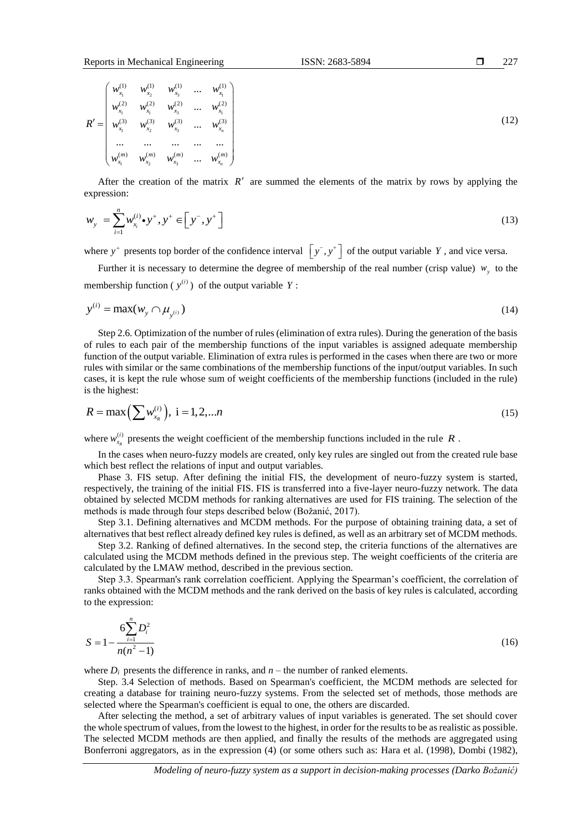$$
R' = \begin{pmatrix} w_{x_1}^{(1)} & w_{x_2}^{(1)} & w_{x_3}^{(1)} & \dots & w_{x_1}^{(1)} \\ w_{x_1}^{(2)} & w_{x_1}^{(2)} & w_{x_3}^{(2)} & \dots & w_{x_1}^{(2)} \\ w_{x_1}^{(3)} & w_{x_2}^{(3)} & w_{x_3}^{(3)} & \dots & w_{x_n}^{(3)} \\ \dots & \dots & \dots & \dots & \dots \\ w_{x_1}^{(m)} & w_{x_2}^{(m)} & w_{x_3}^{(m)} & \dots & w_{x_n}^{(m)} \end{pmatrix}
$$
\n(12)

227

After the creation of the matrix  $R'$  are summed the elements of the matrix by rows by applying the expression:

$$
w_{y} = \sum_{i=1}^{n} w_{x_i}^{(i)} \cdot y^+, y^+ \in [y^-, y^+]
$$
\n(13)

where  $y^+$  presents top border of the confidence interval  $\left[ y^-, y^+ \right]$  of the output variable Y, and vice versa.

Further it is necessary to determine the degree of membership of the real number (crisp value)  $w_y$  to the membership function ( $y^{(i)}$ ) of the output variable Y:

$$
y^{(i)} = \max(w_y \cap \mu_{y^{(i)}}) \tag{14}
$$

Step 2.6. Optimization of the number of rules (elimination of extra rules). During the generation of the basis of rules to each pair of the membership functions of the input variables is assigned adequate membership function of the output variable. Elimination of extra rules is performed in the cases when there are two or more rules with similar or the same combinations of the membership functions of the input/output variables. In such cases, it is kept the rule whose sum of weight coefficients of the membership functions (included in the rule) is the highest:

$$
R = \max\left(\sum w_{x_R}^{(i)}\right), \ i = 1, 2, \dots n \tag{15}
$$

where  $w_{x_n}^{(i)}$ *R*  $w_{x_R}^{(i)}$  presents the weight coefficient of the membership functions included in the rule R.

In the cases when neuro-fuzzy models are created, only key rules are singled out from the created rule base which best reflect the relations of input and output variables.

Phase 3. FIS setup. After defining the initial FIS, the development of neuro-fuzzy system is started, respectively, the training of the initial FIS. FIS is transferred into a five-layer neuro-fuzzy network. The data obtained by selected MCDM methods for ranking alternatives are used for FIS training. The selection of the methods is made through four steps described below (Božanić, 2017).

Step 3.1. Defining alternatives and MCDM methods. For the purpose of obtaining training data, a set of alternatives that best reflect already defined key rules is defined, as well as an arbitrary set of MCDM methods.

Step 3.2. Ranking of defined alternatives. In the second step, the criteria functions of the alternatives are calculated using the MCDM methods defined in the previous step. The weight coefficients of the criteria are calculated by the LMAW method, described in the previous section.

Step 3.3. Spearman's rank correlation coefficient. Applying the Spearman's coefficient, the correlation of ranks obtained with the MCDM methods and the rank derived on the basis of key rules is calculated, according to the expression:

$$
S = 1 - \frac{6 \sum_{i=1}^{n} D_i^2}{n(n^2 - 1)}
$$
\n(16)

where  $D_i$  presents the difference in ranks, and  $n -$  the number of ranked elements.

Step. 3.4 Selection of methods. Based on Spearman's coefficient, the MCDM methods are selected for creating a database for training neuro-fuzzy systems. From the selected set of methods, those methods are selected where the Spearman's coefficient is equal to one, the others are discarded.

After selecting the method, a set of arbitrary values of input variables is generated. The set should cover the whole spectrum of values, from the lowest to the highest, in order for the results to be as realistic as possible. The selected MCDM methods are then applied, and finally the results of the methods are aggregated using Bonferroni aggregators, as in the expression (4) (or some others such as: Hara et al. (1998), Dombi (1982),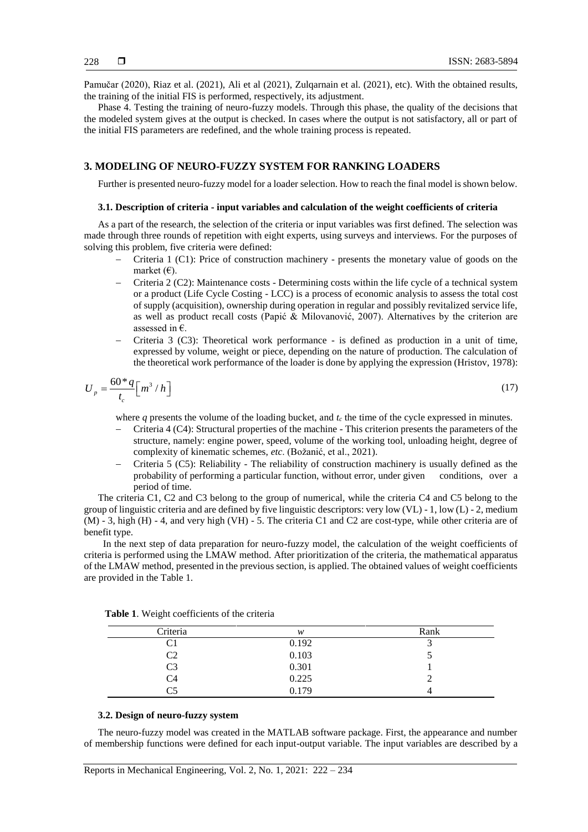Pamučar (2020), Riaz et al. (2021), Ali et al (2021), Zulqarnain et al. (2021), etc). With the obtained results, the training of the initial FIS is performed, respectively, its adjustment.

Phase 4. Testing the training of neuro-fuzzy models. Through this phase, the quality of the decisions that the modeled system gives at the output is checked. In cases where the output is not satisfactory, all or part of the initial FIS parameters are redefined, and the whole training process is repeated.

## **3. MODELING OF NEURO-FUZZY SYSTEM FOR RANKING LOADERS**

Further is presented neuro-fuzzy model for a loader selection. How to reach the final model is shown below.

#### **3.1. Description of criteria - input variables and calculation of the weight coefficients of criteria**

As a part of the research, the selection of the criteria or input variables was first defined. The selection was made through three rounds of repetition with eight experts, using surveys and interviews. For the purposes of solving this problem, five criteria were defined:

- Criteria 1 (C1): Price of construction machinery presents the monetary value of goods on the market  $(\epsilon)$ .
- Criteria 2 (C2): Maintenance costs Determining costs within the life cycle of a technical system or a product (Life Cycle Costing - LCC) is a process of economic analysis to assess the total cost of supply (acquisition), ownership during operation in regular and possibly revitalized service life, as well as product recall costs (Papić & Milovanović, 2007). Alternatives by the criterion are assessed in €.
- Criteria 3 (C3): Theoretical work performance is defined as production in a unit of time, expressed by volume, weight or piece, depending on the nature of production. The calculation of the theoretical work performance of the loader is done by applying the expression (Hristov, 1978):

$$
U_p = \frac{60 \cdot q}{t_c} \left[ m^3 / h \right] \tag{17}
$$

where *q* presents the volume of the loading bucket, and *t<sup>c</sup>* the time of the cycle expressed in minutes.

- Criteria 4 (C4): Structural properties of the machine This criterion presents the parameters of the structure, namely: engine power, speed, volume of the working tool, unloading height, degree of complexity of kinematic schemes, *etc*. (Božanić, et al., 2021).
- Criteria 5 (C5): Reliability The reliability of construction machinery is usually defined as the probability of performing a particular function, without error, under given conditions, over a period of time.

The criteria C1, C2 and C3 belong to the group of numerical, while the criteria C4 and C5 belong to the group of linguistic criteria and are defined by five linguistic descriptors: very low (VL) - 1, low (L) - 2, medium (M) - 3, high (H) - 4, and very high (VH) - 5. The criteria C1 and C2 are cost-type, while other criteria are of benefit type.

 In the next step of data preparation for neuro-fuzzy model, the calculation of the weight coefficients of criteria is performed using the LMAW method. After prioritization of the criteria, the mathematical apparatus of the LMAW method, presented in the previous section, is applied. The obtained values of weight coefficients are provided in the Table 1.

| Criteria | w     | Rank |
|----------|-------|------|
|          | 0.192 |      |
| C2       | 0.103 |      |
| C3       | 0.301 |      |
| C4       | 0.225 |      |
| ۲۲       | 0.179 |      |

**Table 1**. Weight coefficients of the criteria

#### **3.2. Design of neuro-fuzzy system**

The neuro-fuzzy model was created in the MATLAB software package. First, the appearance and number of membership functions were defined for each input-output variable. The input variables are described by a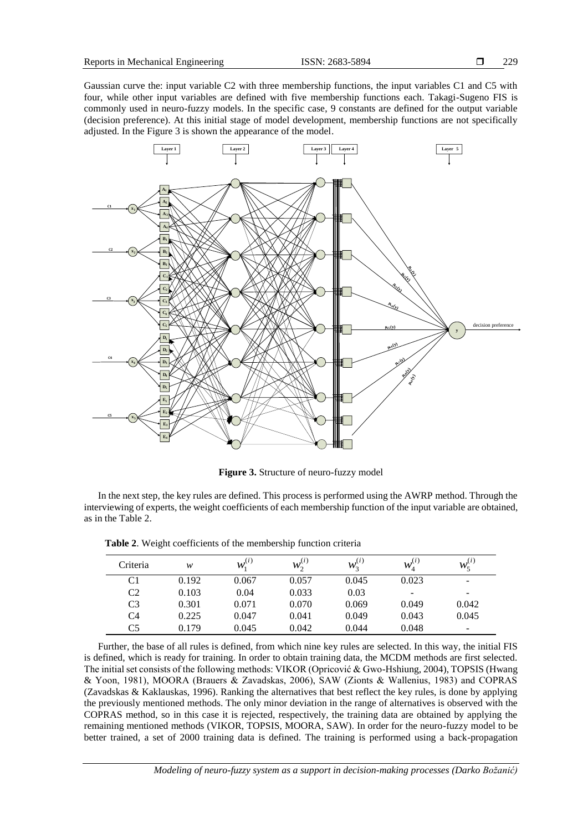$(i)$ 5

Gaussian curve the: input variable C2 with three membership functions, the input variables C1 and C5 with four, while other input variables are defined with five membership functions each. Takagi-Sugeno FIS is commonly used in neuro-fuzzy models. In the specific case, 9 constants are defined for the output variable (decision preference). At this initial stage of model development, membership functions are not specifically adjusted. In the Figure 3 is shown the appearance of the model.



**Figure 3.** Structure of neuro-fuzzy model

In the next step, the key rules are defined. This process is performed using the AWRP method. Through the interviewing of experts, the weight coefficients of each membership function of the input variable are obtained, as in the Table 2.

Criteria *w*  $(i)$ 1  $w_1^{(i)}$  $(i)$ 2  $w_2^{(i)}$  $(i)$ 3  $w_3^{(i)}$  $(i)$ 4  $w_4^{(i)}$  $w_5^{(i)}$ C1 0.192 0.067 0.057 0.045 0.023 -C2 0.103 0.04 0.033 0.03 - -C3 0.301 0.071 0.070 0.069 0.049 0.042

|  |  |  |  |  | Table 2. Weight coefficients of the membership function criteria |  |  |
|--|--|--|--|--|------------------------------------------------------------------|--|--|
|--|--|--|--|--|------------------------------------------------------------------|--|--|

Further, the base of all rules is defined, from which nine key rules are selected. In this way, the initial FIS is defined, which is ready for training. In order to obtain training data, the MCDM methods are first selected. The initial set consists of the following methods: VIKOR (Opricović & Gwo-Hshiung, 2004), TOPSIS (Hwang & Yoon, 1981), МООRA (Brauers & Zavadskas, 2006), SAW (Zionts & Wallenius, 1983) and COPRAS (Zavadskas & Kaklauskas, 1996). Ranking the alternatives that best reflect the key rules, is done by applying the previously mentioned methods. The only minor deviation in the range of alternatives is observed with the COPRAS method, so in this case it is rejected, respectively, the training data are obtained by applying the remaining mentioned methods (VIKOR, TOPSIS, MOORA, SAW). In order for the neuro-fuzzy model to be better trained, a set of 2000 training data is defined. The training is performed using a back-propagation

C4 0.225 0.047 0.041 0.049 0.043 0.045 C5 0.179 0.045 0.042 0.044 0.048 -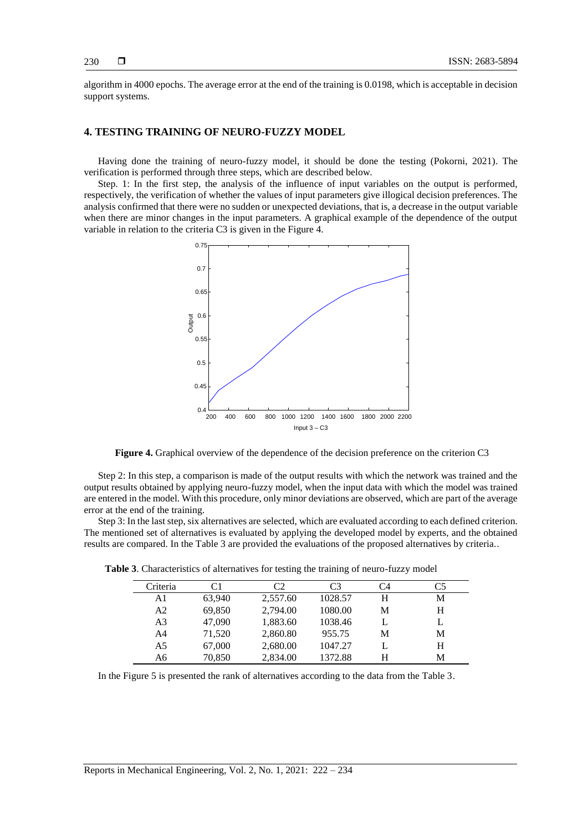algorithm in 4000 epochs. The average error at the end of the training is 0.0198, which is acceptable in decision support systems.

# **4. TESTING TRAINING OF NEURO-FUZZY MODEL**

Having done the training of neuro-fuzzy model, it should be done the testing (Pokorni, 2021). The verification is performed through three steps, which are described below.

Step. 1: In the first step, the analysis of the influence of input variables on the output is performed, respectively, the verification of whether the values of input parameters give illogical decision preferences. The analysis confirmed that there were no sudden or unexpected deviations, that is, a decrease in the output variable when there are minor changes in the input parameters. A graphical example of the dependence of the output variable in relation to the criteria C3 is given in the Figure 4.



**Figure 4.** Graphical overview of the dependence of the decision preference on the criterion C3

Step 2: In this step, a comparison is made of the output results with which the network was trained and the output results obtained by applying neuro-fuzzy model, when the input data with which the model was trained are entered in the model. With this procedure, only minor deviations are observed, which are part of the average error at the end of the training.

Step 3: In the last step, six alternatives are selected, which are evaluated according to each defined criterion. The mentioned set of alternatives is evaluated by applying the developed model by experts, and the obtained results are compared. In the Table 3 are provided the evaluations of the proposed alternatives by criteria..

| Criteria       | C1     | C2       | C <sub>3</sub> | C4 | C5 |
|----------------|--------|----------|----------------|----|----|
| A1             | 63,940 | 2,557.60 | 1028.57        | Н  | М  |
| A <sub>2</sub> | 69,850 | 2,794.00 | 1080.00        | M  | H  |
| A <sub>3</sub> | 47,090 | 1,883.60 | 1038.46        |    | L  |
| A <sub>4</sub> | 71,520 | 2,860.80 | 955.75         | M  | M  |
| A <sub>5</sub> | 67,000 | 2,680.00 | 1047.27        |    | H  |
| A6             | 70,850 | 2,834.00 | 1372.88        | H  | М  |

**Table 3**. Characteristics of alternatives for testing the training of neuro-fuzzy model

In the Figure 5 is presented the rank of alternatives according to the data from the Table 3.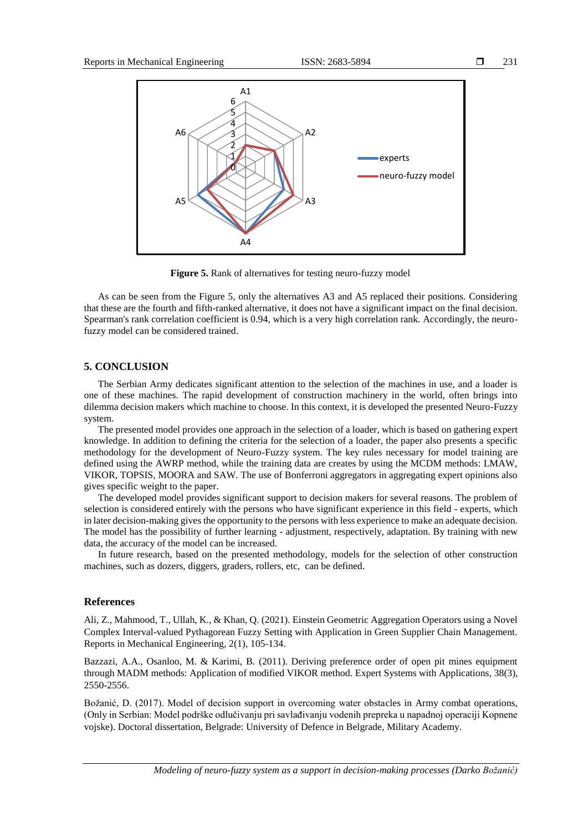231



**Figure 5.** Rank of alternatives for testing neuro-fuzzy model

As can be seen from the Figure 5, only the alternatives A3 and A5 replaced their positions. Considering that these are the fourth and fifth-ranked alternative, it does not have a significant impact on the final decision. Spearman's rank correlation coefficient is 0.94, which is a very high correlation rank. Accordingly, the neurofuzzy model can be considered trained.

## **5. CONCLUSION**

The Serbian Army dedicates significant attention to the selection of the machines in use, and a loader is one of these machines. The rapid development of construction machinery in the world, often brings into dilemma decision makers which machine to choose. In this context, it is developed the presented Neuro-Fuzzy system.

The presented model provides one approach in the selection of a loader, which is based on gathering expert knowledge. In addition to defining the criteria for the selection of a loader, the paper also presents a specific methodology for the development of Neuro-Fuzzy system. The key rules necessary for model training are defined using the AWRP method, while the training data are creates by using the MCDM methods: LMAW, VIKOR, TOPSIS, MOORA and SAW. The use of Bonferroni aggregators in aggregating expert opinions also gives specific weight to the paper.

The developed model provides significant support to decision makers for several reasons. The problem of selection is considered entirely with the persons who have significant experience in this field - experts, which in later decision-making gives the opportunity to the persons with less experience to make an adequate decision. The model has the possibility of further learning - adjustment, respectively, adaptation. By training with new data, the accuracy of the model can be increased.

In future research, based on the presented methodology, models for the selection of other construction machines, such as dozers, diggers, graders, rollers, etc, can be defined.

## **References**

Ali, Z., Mahmood, T., Ullah, K., & Khan, Q. (2021). Einstein Geometric Aggregation Operators using a Novel Complex Interval-valued Pythagorean Fuzzy Setting with Application in Green Supplier Chain Management. Reports in Mechanical Engineering, 2(1), 105-134.

Bazzazi, A.A., Osanloo, M. & Karimi, B. (2011). Deriving preference order of open pit mines equipment through MADM methods: Application of modified VIKOR method. Expert Systems with Applications, 38(3), 2550-2556.

Božanić, D. (2017). Model of decision support in overcoming water obstacles in Army combat operations, (Only in Serbian: Model podrške odlučivanju pri savlađivanju vodenih prepreka u napadnoj operaciji Kopnene vojske). Doctoral dissertation, Belgrade: University of Defence in Belgrade, Military Academy.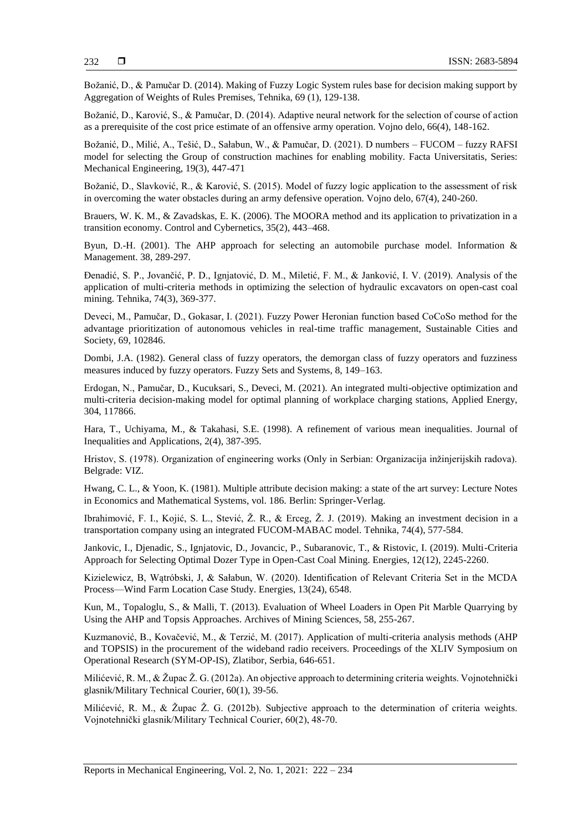Božanić, D., & Pamučar D. (2014). Making of Fuzzy Logic System rules base for decision making support by Aggregation of Weights of Rules Premises, Tehnika, 69 (1), 129-138.

Božanić, D., Karović, S., & Pamučar, D. (2014). Adaptive neural network for the selection of course of action as a prerequisite of the cost price estimate of an offensive army operation. Vojno delo, 66(4), 148-162.

Božanić, D., Milić, A., Tešić, D., Sałabun, W., & Pamučar, D. (2021). D numbers – FUCOM – fuzzy RAFSI model for selecting the Group of construction machines for enabling mobility. Facta Universitatis, Series: Mechanical Engineering, 19(3), 447-471

Božanić, D., Slavković, R., & Karović, S. (2015). Model of fuzzy logic application to the assessment of risk in overcoming the water obstacles during an army defensive operation. Vojno delo, 67(4), 240-260.

Brauers, W. K. M., & Zavadskas, E. K. (2006). The MOORA method and its application to privatization in a transition economy. Control and Cybernetics, 35(2), 443–468.

Byun, D.-H. (2001). The AHP approach for selecting an automobile purchase model. Information & Management. 38, 289-297.

Đenadić, S. P., Jovančić, P. D., Ignjatović, D. M., Miletić, F. M., & Janković, I. V. (2019). Analysis of the application of multi-criteria methods in optimizing the selection of hydraulic excavators on open-cast coal mining. Tehnika, 74(3), 369-377.

Deveci, M., Pamučar, D., Gokasar, I. (2021). Fuzzy Power Heronian function based CoCoSo method for the advantage prioritization of autonomous vehicles in real-time traffic management, Sustainable Cities and Society, 69, 102846.

Dombi, J.A. (1982). General class of fuzzy operators, the demorgan class of fuzzy operators and fuzziness measures induced by fuzzy operators. Fuzzy Sets and Systems, 8, 149–163.

Erdogan, N., Pamučar, D., Kucuksari, S., Deveci, M. (2021). An integrated multi-objective optimization and multi-criteria decision-making model for optimal planning of workplace charging stations, Applied Energy, 304, 117866.

Hara, T., Uchiyama, M., & Takahasi, S.E. (1998). A refinement of various mean inequalities. Journal of Inequalities and Applications, 2(4), 387-395.

Hristov, S. (1978). Organization of engineering works (Only in Serbian: Organizacija inžinjerijskih radova). Belgrade: VIZ.

Hwang, C. L., & Yoon, K. (1981). Multiple attribute decision making: a state of the art survey: Lecture Notes in Economics and Mathematical Systems, vol. 186. Berlin: Springer-Verlag.

Ibrahimović, F. I., Kojić, S. L., Stević, Ž. R., & Erceg, Ž. J. (2019). Making an investment decision in a transportation company using an integrated FUCOM-MABAC model. Tehnika, 74(4), 577-584.

Jankovic, I., Djenadic, S., Ignjatovic, D., Jovancic, P., Subaranovic, T., & Ristovic, I. (2019). Multi-Criteria Approach for Selecting Optimal Dozer Type in Open-Cast Coal Mining. Energies, 12(12), 2245-2260.

Kizielewicz, B, Wątróbski, J, & Sałabun, W. (2020). Identification of Relevant Criteria Set in the MCDA Process—Wind Farm Location Case Study. Energies, 13(24), 6548.

Kun, M., Topaloglu, S., & Malli, T. (2013). Evaluation of Wheel Loaders in Open Pit Marble Quarrying by Using the AHP and Topsis Approaches. Archives of Mining Sciences, 58, 255-267.

Kuzmanović, B., Kovačević, M., & Terzić, M. (2017). Application of multi-criteria analysis methods (AHP and TOPSIS) in the procurement of the wideband radio receivers. Proceedings of the XLIV Symposium on Operational Research (SYM-OP-IS), Zlatibor, Serbia, 646-651.

Milićević, R. M., & Župac Ž. G. (2012a). An objective approach to determining criteria weights. Vojnotehnički glasnik/Military Technical Courier, 60(1), 39-56.

Milićević, R. M., & Župac Ž. G. (2012b). Subjective approach to the determination of criteria weights. Vojnotehnički glasnik/Military Technical Courier, 60(2), 48-70.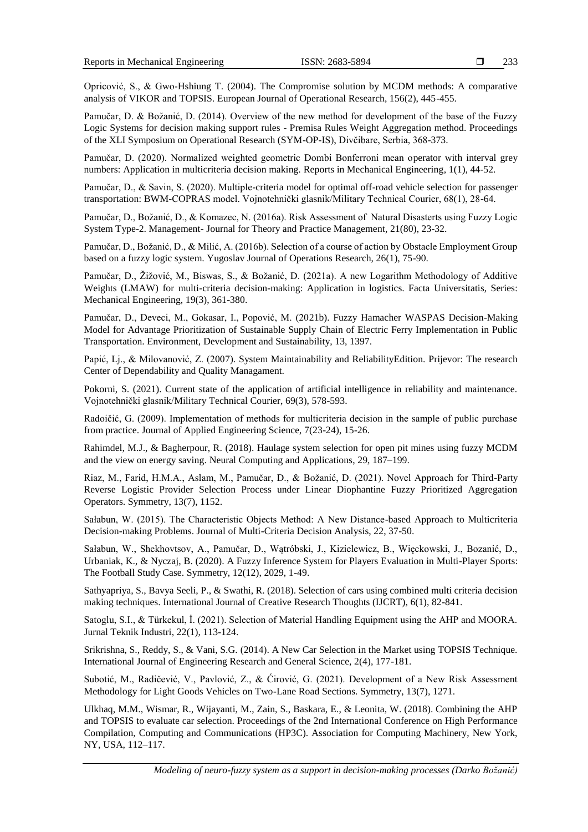Opricović, S., & Gwo-Hshiung T. (2004). The Compromise solution by MCDM methods: A comparative analysis of VIKOR and TOPSIS. European Journal of Operational Research, 156(2), 445-455.

Pamučar, D. & Božanić, D. (2014). Overview of the new method for development of the base of the Fuzzy Logic Systems for decision making support rules - Premisa Rules Weight Aggregation method. Proceedings of the XLI Symposium on Operational Research (SYM-OP-IS), Divčibare, Serbia, 368-373.

Pamučar, D. (2020). Normalized weighted geometric Dombi Bonferroni mean operator with interval grey numbers: Application in multicriteria decision making. Reports in Mechanical Engineering, 1(1), 44-52.

Pamučar, D., & Savin, S. (2020). Multiple-criteria model for optimal off-road vehicle selection for passenger transportation: BWM-COPRAS model. Vojnotehnički glasnik/Military Technical Courier, 68(1), 28-64.

Pamučar, D., Božanić, D., & Komazec, N. (2016a). Risk Assessment of Natural Disasterts using Fuzzy Logic System Type-2. Management- Journal for Theory and Practice Management, 21(80), 23-32.

Pamučar, D., Božanić, D., & Milić, A. (2016b). Selection of a course of action by Obstacle Employment Group based on a fuzzy logic system. Yugoslav Journal of Operations Research, 26(1), 75-90.

Pamučar, D., Žižović, M., Biswas, S., & Božanić, D. (2021a). A new Logarithm Methodology of Additive Weights (LMAW) for multi-criteria decision-making: Application in logistics. Facta Universitatis, Series: Mechanical Engineering, 19(3), 361-380.

Pamučar, D., Deveci, M., Gokasar, I., Popović, M. (2021b). Fuzzy Hamacher WASPAS Decision-Making Model for Advantage Prioritization of Sustainable Supply Chain of Electric Ferry Implementation in Public Transportation. Environment, Development and Sustainability, 13, 1397.

Papić, Lj., & Milovanović, Z. (2007). System Maintainability and ReliabilityEdition. Prijevor: The research Center of Dependability and Quality Managament.

Pokorni, S. (2021). Current state of the application of artificial intelligence in reliability and maintenance. Vojnotehnički glasnik/Military Technical Courier, 69(3), 578-593.

Radoičić, G. (2009). Implementation of methods for multicriteria decision in the sample of public purchase from practice. Journal of Applied Engineering Science, 7(23-24), 15-26.

Rahimdel, M.J., & Bagherpour, R. (2018). Haulage system selection for open pit mines using fuzzy MCDM and the view on energy saving. [Neural Computing and Applications,](https://link.springer.com/journal/521) 29, 187–199.

Riaz, M., Farid, H.M.A., Aslam, M., Pamučar, D., & Božanić, D. (2021). Novel Approach for Third-Party Reverse Logistic Provider Selection Process under Linear Diophantine Fuzzy Prioritized Aggregation Operators. Symmetry, 13(7), 1152.

Sałabun, W. (2015). The Characteristic Objects Method: A New Distance-based Approach to Multicriteria Decision-making Problems. Journal of Multi-Criteria Decision Analysis, 22, 37-50.

Sałabun, W., Shekhovtsov, A., Pamučar, D., Wątróbski, J., Kizielewicz, B., Więckowski, J., Bozanić, D., Urbaniak, K., & Nyczaj, B. (2020). A Fuzzy Inference System for Players Evaluation in Multi-Player Sports: The Football Study Case. Symmetry, 12(12), 2029, 1-49.

Sathyapriya, S., Bavya Seeli, P., & Swathi, R. (2018). Selection of cars using combined multi criteria decision making techniques. International Journal of Creative Research Thoughts (IJCRT), 6(1), 82-841.

Satoglu, S.I., & Türkekul, İ. (2021). Selection of Material Handling Equipment using the AHP and MOORA. Jurnal Teknik Industri, 22(1), 113-124.

Srikrishna, S., Reddy, S., & Vani, S.G. (2014). A New Car Selection in the Market using TOPSIS Technique. International Journal of Engineering Research and General Science, 2(4), 177-181.

Subotić, M., Radičević, V., Pavlović, Z., & Ćirović, G. (2021). Development of a New Risk Assessment Methodology for Light Goods Vehicles on Two-Lane Road Sections. Symmetry, 13(7)*,* 1271.

Ulkhaq, M.M., Wismar, R., Wijayanti, M., Zain, S., Baskara, E., & Leonita, W. (2018). Combining the AHP and TOPSIS to evaluate car selection. Proceedings of the 2nd International Conference on High Performance Compilation, Computing and Communications (HP3C). Association for Computing Machinery, New York, NY, USA, 112–117.